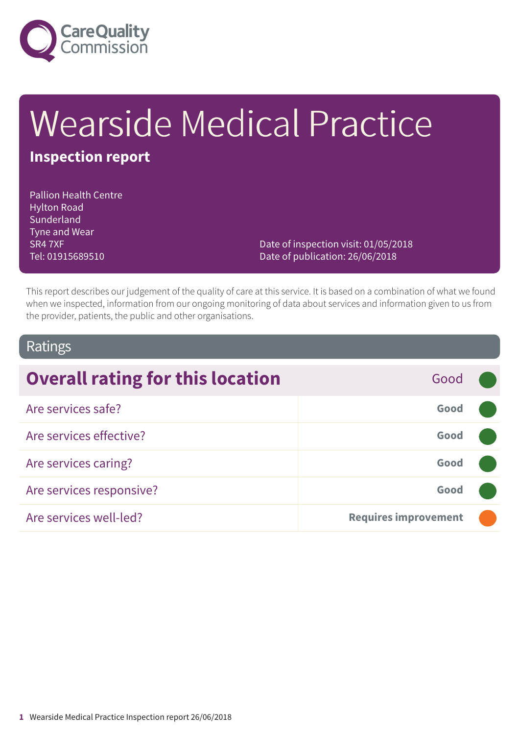

# Wearside Medical Practice

### **Inspection report**

Pallion Health Centre Hylton Road Sunderland Tyne and Wear SR4 7XF Tel: 01915689510

Date of inspection visit: 01/05/2018 Date of publication: 26/06/2018

This report describes our judgement of the quality of care at this service. It is based on a combination of what we found when we inspected, information from our ongoing monitoring of data about services and information given to us from the provider, patients, the public and other organisations.

### Ratings

| <b>Overall rating for this location</b> | Good                        |  |
|-----------------------------------------|-----------------------------|--|
| Are services safe?                      | Good                        |  |
| Are services effective?                 | Good                        |  |
| Are services caring?                    | Good                        |  |
| Are services responsive?                | Good                        |  |
| Are services well-led?                  | <b>Requires improvement</b> |  |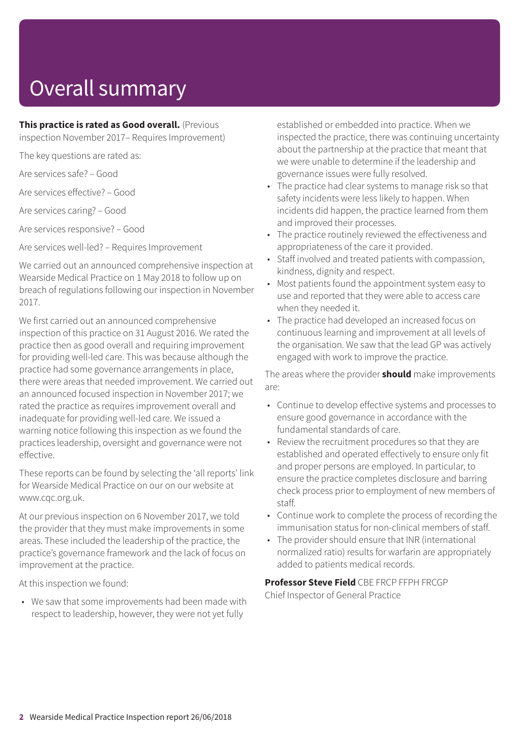# Overall summary

**This practice is rated as Good overall.** (Previous

inspection November 2017– Requires Improvement)

The key questions are rated as:

Are services safe? – Good

Are services effective? – Good

Are services caring? – Good

Are services responsive? – Good

Are services well-led? – Requires Improvement

We carried out an announced comprehensive inspection at Wearside Medical Practice on 1 May 2018 to follow up on breach of regulations following our inspection in November 2017.

We first carried out an announced comprehensive inspection of this practice on 31 August 2016. We rated the practice then as good overall and requiring improvement for providing well-led care. This was because although the practice had some governance arrangements in place, there were areas that needed improvement. We carried out an announced focused inspection in November 2017; we rated the practice as requires improvement overall and inadequate for providing well-led care. We issued a warning notice following this inspection as we found the practices leadership, oversight and governance were not effective.

These reports can be found by selecting the 'all reports' link for Wearside Medical Practice on our on our website at www.cqc.org.uk.

At our previous inspection on 6 November 2017, we told the provider that they must make improvements in some areas. These included the leadership of the practice, the practice's governance framework and the lack of focus on improvement at the practice.

At this inspection we found:

• We saw that some improvements had been made with respect to leadership, however, they were not yet fully

established or embedded into practice. When we inspected the practice, there was continuing uncertainty about the partnership at the practice that meant that we were unable to determine if the leadership and governance issues were fully resolved.

- The practice had clear systems to manage risk so that safety incidents were less likely to happen. When incidents did happen, the practice learned from them and improved their processes.
- The practice routinely reviewed the effectiveness and appropriateness of the care it provided.
- Staff involved and treated patients with compassion, kindness, dignity and respect.
- Most patients found the appointment system easy to use and reported that they were able to access care when they needed it.
- The practice had developed an increased focus on continuous learning and improvement at all levels of the organisation. We saw that the lead GP was actively engaged with work to improve the practice.

The areas where the provider **should** make improvements are:

- Continue to develop effective systems and processes to ensure good governance in accordance with the fundamental standards of care.
- Review the recruitment procedures so that they are established and operated effectively to ensure only fit and proper persons are employed. In particular, to ensure the practice completes disclosure and barring check process prior to employment of new members of staff.
- Continue work to complete the process of recording the immunisation status for non-clinical members of staff.
- The provider should ensure that INR (international normalized ratio) results for warfarin are appropriately added to patients medical records.

**Professor Steve Field** CBE FRCP FFPH FRCGP

Chief Inspector of General Practice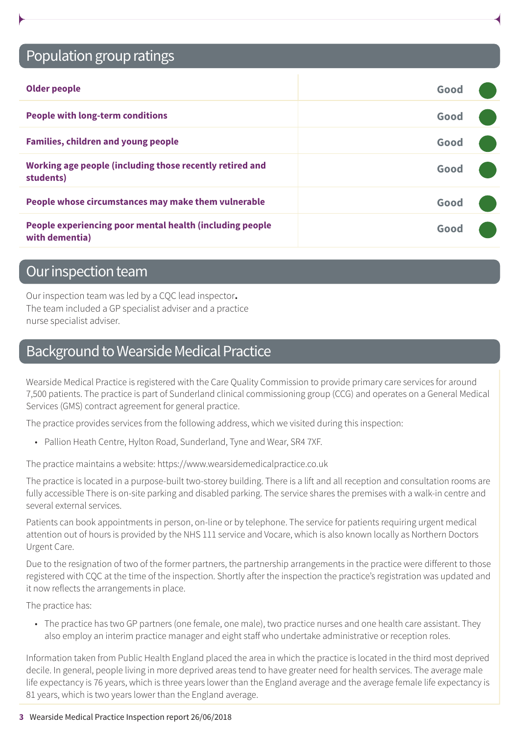### Population group ratings

| <b>Older people</b>                                                        | Good |  |
|----------------------------------------------------------------------------|------|--|
| <b>People with long-term conditions</b>                                    | Good |  |
| <b>Families, children and young people</b>                                 | Good |  |
| Working age people (including those recently retired and<br>students)      | Good |  |
| People whose circumstances may make them vulnerable                        | Good |  |
| People experiencing poor mental health (including people<br>with dementia) | Good |  |

### Our inspection team

Our inspection team was led by a CQC lead inspector**.** The team included a GP specialist adviser and a practice nurse specialist adviser.

### Background to Wearside Medical Practice

Wearside Medical Practice is registered with the Care Quality Commission to provide primary care services for around 7,500 patients. The practice is part of Sunderland clinical commissioning group (CCG) and operates on a General Medical Services (GMS) contract agreement for general practice.

The practice provides services from the following address, which we visited during this inspection:

• Pallion Heath Centre, Hylton Road, Sunderland, Tyne and Wear, SR4 7XF.

The practice maintains a website: https://www.wearsidemedicalpractice.co.uk

The practice is located in a purpose-built two-storey building. There is a lift and all reception and consultation rooms are fully accessible There is on-site parking and disabled parking. The service shares the premises with a walk-in centre and several external services.

Patients can book appointments in person, on-line or by telephone. The service for patients requiring urgent medical attention out of hours is provided by the NHS 111 service and Vocare, which is also known locally as Northern Doctors Urgent Care.

Due to the resignation of two of the former partners, the partnership arrangements in the practice were different to those registered with CQC at the time of the inspection. Shortly after the inspection the practice's registration was updated and it now reflects the arrangements in place.

The practice has:

• The practice has two GP partners (one female, one male), two practice nurses and one health care assistant. They also employ an interim practice manager and eight staff who undertake administrative or reception roles.

Information taken from Public Health England placed the area in which the practice is located in the third most deprived decile. In general, people living in more deprived areas tend to have greater need for health services. The average male life expectancy is 76 years, which is three years lower than the England average and the average female life expectancy is 81 years, which is two years lower than the England average.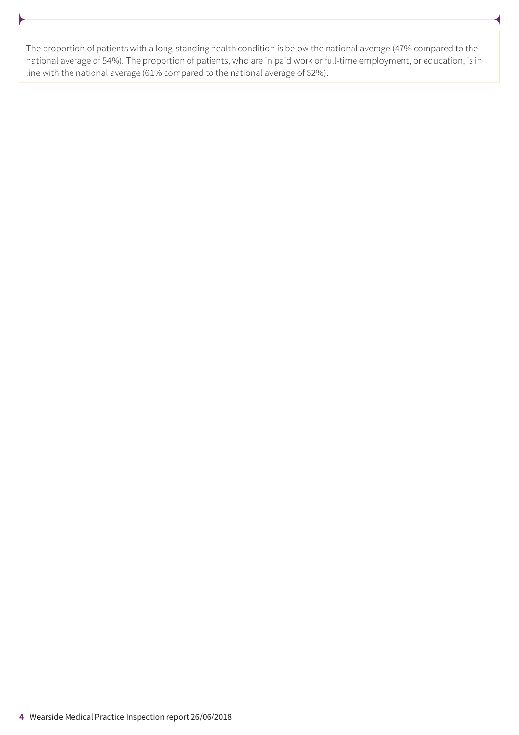The proportion of patients with a long-standing health condition is below the national average (47% compared to the national average of 54%). The proportion of patients, who are in paid work or full-time employment, or education, is in line with the national average (61% compared to the national average of 62%).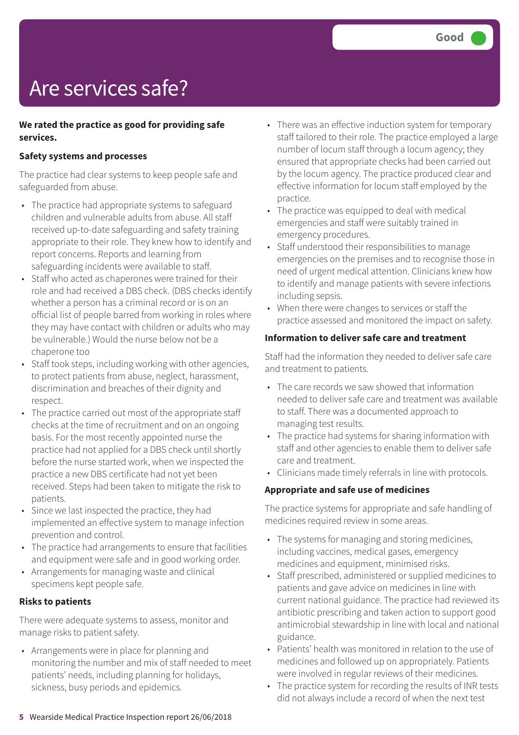# Are services safe?

#### **We rated the practice as good for providing safe services.**

#### **Safety systems and processes**

The practice had clear systems to keep people safe and safeguarded from abuse.

- The practice had appropriate systems to safeguard children and vulnerable adults from abuse. All staff received up-to-date safeguarding and safety training appropriate to their role. They knew how to identify and report concerns. Reports and learning from safeguarding incidents were available to staff.
- Staff who acted as chaperones were trained for their role and had received a DBS check. (DBS checks identify whether a person has a criminal record or is on an official list of people barred from working in roles where they may have contact with children or adults who may be vulnerable.) Would the nurse below not be a chaperone too
- Staff took steps, including working with other agencies, to protect patients from abuse, neglect, harassment, discrimination and breaches of their dignity and respect.
- The practice carried out most of the appropriate staff checks at the time of recruitment and on an ongoing basis. For the most recently appointed nurse the practice had not applied for a DBS check until shortly before the nurse started work, when we inspected the practice a new DBS certificate had not yet been received. Steps had been taken to mitigate the risk to patients.
- Since we last inspected the practice, they had implemented an effective system to manage infection prevention and control.
- The practice had arrangements to ensure that facilities and equipment were safe and in good working order.
- Arrangements for managing waste and clinical specimens kept people safe.

#### **Risks to patients**

There were adequate systems to assess, monitor and manage risks to patient safety.

• Arrangements were in place for planning and monitoring the number and mix of staff needed to meet patients' needs, including planning for holidays, sickness, busy periods and epidemics.

- There was an effective induction system for temporary staff tailored to their role. The practice employed a large number of locum staff through a locum agency; they ensured that appropriate checks had been carried out by the locum agency. The practice produced clear and effective information for locum staff employed by the practice.
- The practice was equipped to deal with medical emergencies and staff were suitably trained in emergency procedures.
- Staff understood their responsibilities to manage emergencies on the premises and to recognise those in need of urgent medical attention. Clinicians knew how to identify and manage patients with severe infections including sepsis.
- When there were changes to services or staff the practice assessed and monitored the impact on safety.

#### **Information to deliver safe care and treatment**

Staff had the information they needed to deliver safe care and treatment to patients.

- The care records we saw showed that information needed to deliver safe care and treatment was available to staff. There was a documented approach to managing test results.
- The practice had systems for sharing information with staff and other agencies to enable them to deliver safe care and treatment.
- Clinicians made timely referrals in line with protocols.

#### **Appropriate and safe use of medicines**

The practice systems for appropriate and safe handling of medicines required review in some areas.

- The systems for managing and storing medicines, including vaccines, medical gases, emergency medicines and equipment, minimised risks.
- Staff prescribed, administered or supplied medicines to patients and gave advice on medicines in line with current national guidance. The practice had reviewed its antibiotic prescribing and taken action to support good antimicrobial stewardship in line with local and national guidance.
- Patients' health was monitored in relation to the use of medicines and followed up on appropriately. Patients were involved in regular reviews of their medicines.
- The practice system for recording the results of INR tests did not always include a record of when the next test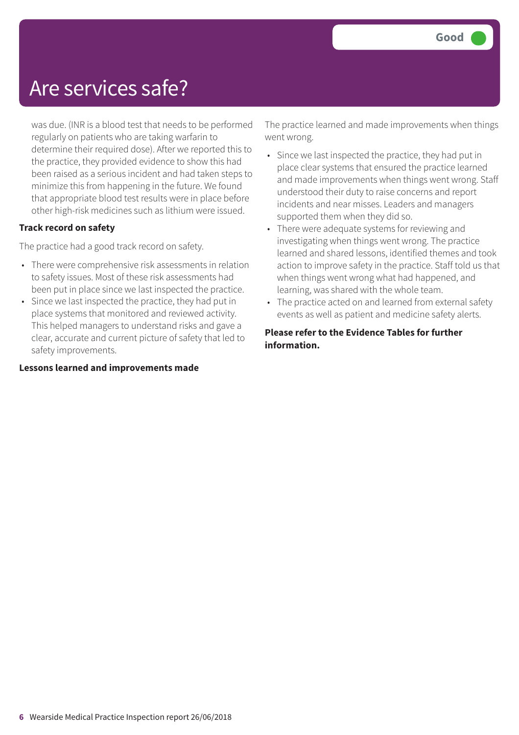### Are services safe?

was due. (INR is a blood test that needs to be performed regularly on patients who are taking warfarin to determine their required dose). After we reported this to the practice, they provided evidence to show this had been raised as a serious incident and had taken steps to minimize this from happening in the future. We found that appropriate blood test results were in place before other high-risk medicines such as lithium were issued.

#### **Track record on safety**

The practice had a good track record on safety.

- There were comprehensive risk assessments in relation to safety issues. Most of these risk assessments had been put in place since we last inspected the practice.
- Since we last inspected the practice, they had put in place systems that monitored and reviewed activity. This helped managers to understand risks and gave a clear, accurate and current picture of safety that led to safety improvements.

#### **Lessons learned and improvements made**

The practice learned and made improvements when things went wrong.

- Since we last inspected the practice, they had put in place clear systems that ensured the practice learned and made improvements when things went wrong. Staff understood their duty to raise concerns and report incidents and near misses. Leaders and managers supported them when they did so.
- There were adequate systems for reviewing and investigating when things went wrong. The practice learned and shared lessons, identified themes and took action to improve safety in the practice. Staff told us that when things went wrong what had happened, and learning, was shared with the whole team.
- The practice acted on and learned from external safety events as well as patient and medicine safety alerts.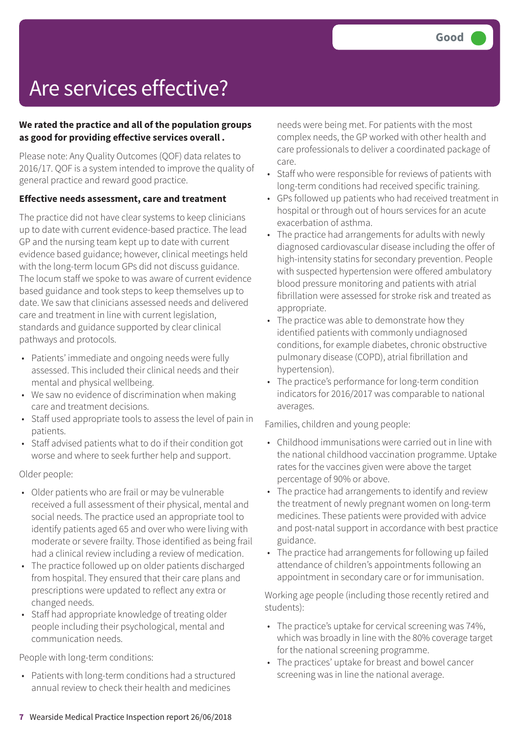# Are services effective?

#### **We rated the practice and all of the population groups as good for providing effective services overall .**

Please note: Any Quality Outcomes (QOF) data relates to 2016/17. QOF is a system intended to improve the quality of general practice and reward good practice.

#### **Effective needs assessment, care and treatment**

The practice did not have clear systems to keep clinicians up to date with current evidence-based practice. The lead GP and the nursing team kept up to date with current evidence based guidance; however, clinical meetings held with the long-term locum GPs did not discuss guidance. The locum staff we spoke to was aware of current evidence based guidance and took steps to keep themselves up to date. We saw that clinicians assessed needs and delivered care and treatment in line with current legislation, standards and guidance supported by clear clinical pathways and protocols.

- Patients' immediate and ongoing needs were fully assessed. This included their clinical needs and their mental and physical wellbeing.
- We saw no evidence of discrimination when making care and treatment decisions.
- Staff used appropriate tools to assess the level of pain in patients.
- Staff advised patients what to do if their condition got worse and where to seek further help and support.

Older people:

- Older patients who are frail or may be vulnerable received a full assessment of their physical, mental and social needs. The practice used an appropriate tool to identify patients aged 65 and over who were living with moderate or severe frailty. Those identified as being frail had a clinical review including a review of medication.
- The practice followed up on older patients discharged from hospital. They ensured that their care plans and prescriptions were updated to reflect any extra or changed needs.
- Staff had appropriate knowledge of treating older people including their psychological, mental and communication needs.

People with long-term conditions:

• Patients with long-term conditions had a structured annual review to check their health and medicines

needs were being met. For patients with the most complex needs, the GP worked with other health and care professionals to deliver a coordinated package of care.

- Staff who were responsible for reviews of patients with long-term conditions had received specific training.
- GPs followed up patients who had received treatment in hospital or through out of hours services for an acute exacerbation of asthma.
- The practice had arrangements for adults with newly diagnosed cardiovascular disease including the offer of high-intensity statins for secondary prevention. People with suspected hypertension were offered ambulatory blood pressure monitoring and patients with atrial fibrillation were assessed for stroke risk and treated as appropriate.
- The practice was able to demonstrate how they identified patients with commonly undiagnosed conditions, for example diabetes, chronic obstructive pulmonary disease (COPD), atrial fibrillation and hypertension).
- The practice's performance for long-term condition indicators for 2016/2017 was comparable to national averages.

Families, children and young people:

- Childhood immunisations were carried out in line with the national childhood vaccination programme. Uptake rates for the vaccines given were above the target percentage of 90% or above.
- The practice had arrangements to identify and review the treatment of newly pregnant women on long-term medicines. These patients were provided with advice and post-natal support in accordance with best practice guidance.
- The practice had arrangements for following up failed attendance of children's appointments following an appointment in secondary care or for immunisation.

Working age people (including those recently retired and students):

- The practice's uptake for cervical screening was 74%, which was broadly in line with the 80% coverage target for the national screening programme.
- The practices' uptake for breast and bowel cancer screening was in line the national average.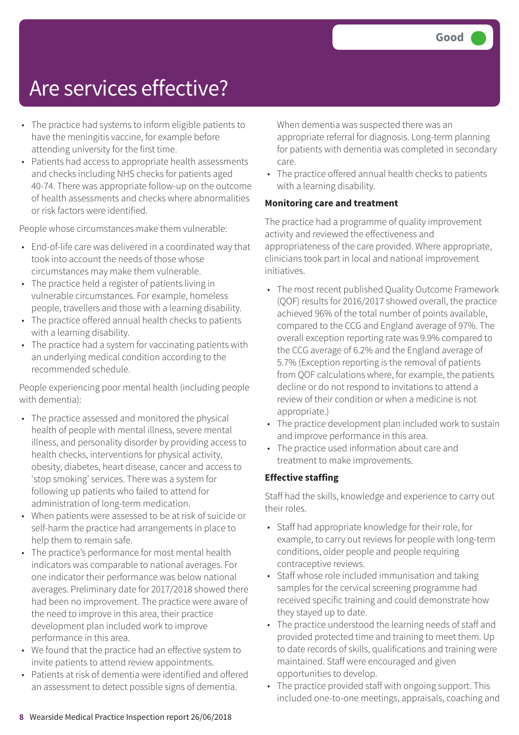### Are services effective?

- The practice had systems to inform eligible patients to have the meningitis vaccine, for example before attending university for the first time.
- Patients had access to appropriate health assessments and checks including NHS checks for patients aged 40-74. There was appropriate follow-up on the outcome of health assessments and checks where abnormalities or risk factors were identified.

People whose circumstances make them vulnerable:

- End-of-life care was delivered in a coordinated way that took into account the needs of those whose circumstances may make them vulnerable.
- The practice held a register of patients living in vulnerable circumstances. For example, homeless people, travellers and those with a learning disability.
- The practice offered annual health checks to patients with a learning disability.
- The practice had a system for vaccinating patients with an underlying medical condition according to the recommended schedule.

People experiencing poor mental health (including people with dementia):

- The practice assessed and monitored the physical health of people with mental illness, severe mental illness, and personality disorder by providing access to health checks, interventions for physical activity, obesity, diabetes, heart disease, cancer and access to 'stop smoking' services. There was a system for following up patients who failed to attend for administration of long-term medication.
- When patients were assessed to be at risk of suicide or self-harm the practice had arrangements in place to help them to remain safe.
- The practice's performance for most mental health indicators was comparable to national averages. For one indicator their performance was below national averages. Preliminary date for 2017/2018 showed there had been no improvement. The practice were aware of the need to improve in this area, their practice development plan included work to improve performance in this area.
- We found that the practice had an effective system to invite patients to attend review appointments.
- Patients at risk of dementia were identified and offered an assessment to detect possible signs of dementia.

When dementia was suspected there was an appropriate referral for diagnosis. Long-term planning for patients with dementia was completed in secondary care.

• The practice offered annual health checks to patients with a learning disability.

#### **Monitoring care and treatment**

The practice had a programme of quality improvement activity and reviewed the effectiveness and appropriateness of the care provided. Where appropriate, clinicians took part in local and national improvement initiatives.

- The most recent published Quality Outcome Framework (QOF) results for 2016/2017 showed overall, the practice achieved 96% of the total number of points available, compared to the CCG and England average of 97%. The overall exception reporting rate was 9.9% compared to the CCG average of 6.2% and the England average of 5.7% (Exception reporting is the removal of patients from QOF calculations where, for example, the patients decline or do not respond to invitations to attend a review of their condition or when a medicine is not appropriate.)
- The practice development plan included work to sustain and improve performance in this area.
- The practice used information about care and treatment to make improvements.

#### **Effective staffing**

Staff had the skills, knowledge and experience to carry out their roles.

- Staff had appropriate knowledge for their role, for example, to carry out reviews for people with long-term conditions, older people and people requiring contraceptive reviews.
- Staff whose role included immunisation and taking samples for the cervical screening programme had received specific training and could demonstrate how they stayed up to date.
- The practice understood the learning needs of staff and provided protected time and training to meet them. Up to date records of skills, qualifications and training were maintained. Staff were encouraged and given opportunities to develop.
- The practice provided staff with ongoing support. This included one-to-one meetings, appraisals, coaching and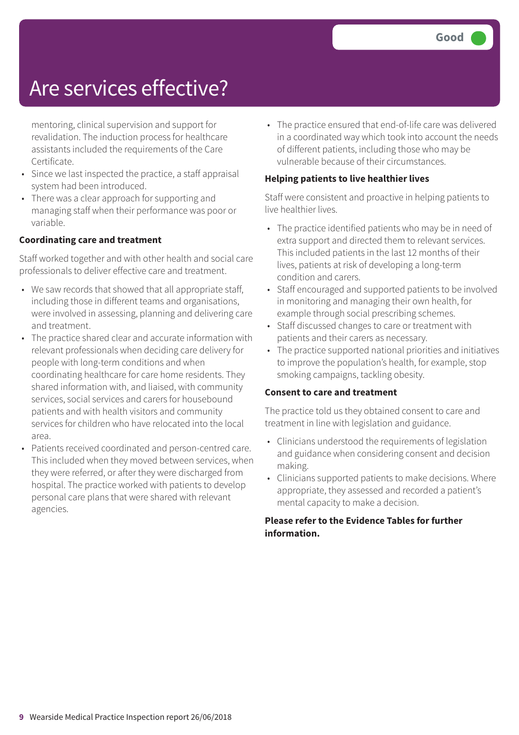### Are services effective?

mentoring, clinical supervision and support for revalidation. The induction process for healthcare assistants included the requirements of the Care Certificate.

- Since we last inspected the practice, a staff appraisal system had been introduced.
- There was a clear approach for supporting and managing staff when their performance was poor or variable.

#### **Coordinating care and treatment**

Staff worked together and with other health and social care professionals to deliver effective care and treatment.

- We saw records that showed that all appropriate staff, including those in different teams and organisations, were involved in assessing, planning and delivering care and treatment.
- The practice shared clear and accurate information with relevant professionals when deciding care delivery for people with long-term conditions and when coordinating healthcare for care home residents. They shared information with, and liaised, with community services, social services and carers for housebound patients and with health visitors and community services for children who have relocated into the local area.
- Patients received coordinated and person-centred care. This included when they moved between services, when they were referred, or after they were discharged from hospital. The practice worked with patients to develop personal care plans that were shared with relevant agencies.

• The practice ensured that end-of-life care was delivered in a coordinated way which took into account the needs of different patients, including those who may be vulnerable because of their circumstances.

#### **Helping patients to live healthier lives**

Staff were consistent and proactive in helping patients to live healthier lives.

- The practice identified patients who may be in need of extra support and directed them to relevant services. This included patients in the last 12 months of their lives, patients at risk of developing a long-term condition and carers.
- Staff encouraged and supported patients to be involved in monitoring and managing their own health, for example through social prescribing schemes.
- Staff discussed changes to care or treatment with patients and their carers as necessary.
- The practice supported national priorities and initiatives to improve the population's health, for example, stop smoking campaigns, tackling obesity.

#### **Consent to care and treatment**

The practice told us they obtained consent to care and treatment in line with legislation and guidance.

- Clinicians understood the requirements of legislation and guidance when considering consent and decision making.
- Clinicians supported patients to make decisions. Where appropriate, they assessed and recorded a patient's mental capacity to make a decision.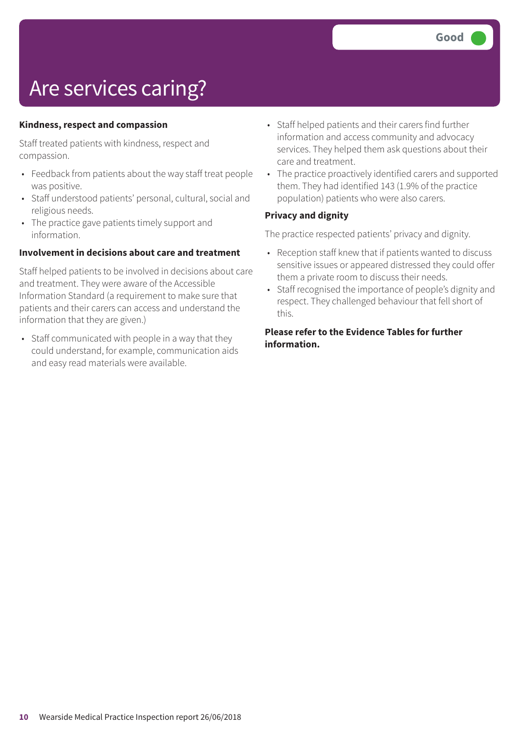# Are services caring?

#### **Kindness, respect and compassion**

Staff treated patients with kindness, respect and compassion.

- Feedback from patients about the way staff treat people was positive.
- Staff understood patients' personal, cultural, social and religious needs.
- The practice gave patients timely support and information.

#### **Involvement in decisions about care and treatment**

Staff helped patients to be involved in decisions about care and treatment. They were aware of the Accessible Information Standard (a requirement to make sure that patients and their carers can access and understand the information that they are given.)

• Staff communicated with people in a way that they could understand, for example, communication aids and easy read materials were available.

- Staff helped patients and their carers find further information and access community and advocacy services. They helped them ask questions about their care and treatment.
- The practice proactively identified carers and supported them. They had identified 143 (1.9% of the practice population) patients who were also carers.

#### **Privacy and dignity**

The practice respected patients' privacy and dignity.

- Reception staff knew that if patients wanted to discuss sensitive issues or appeared distressed they could offer them a private room to discuss their needs.
- Staff recognised the importance of people's dignity and respect. They challenged behaviour that fell short of this.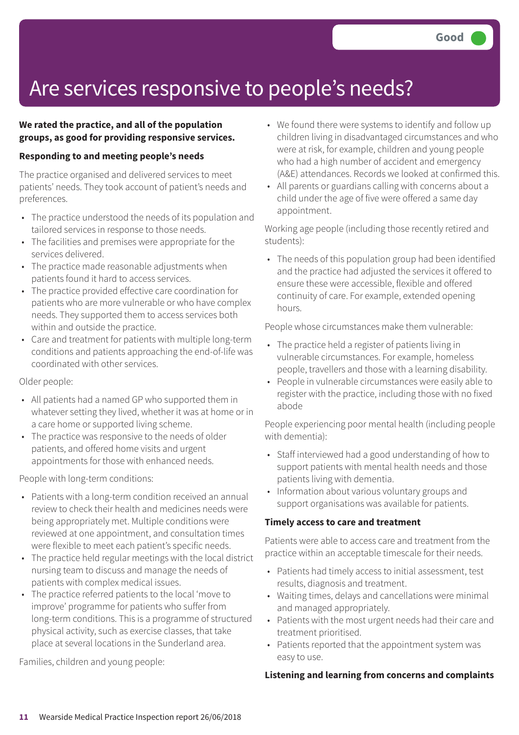# Are services responsive to people's needs?

#### **We rated the practice, and all of the population groups, as good for providing responsive services.**

#### **Responding to and meeting people's needs**

The practice organised and delivered services to meet patients' needs. They took account of patient's needs and preferences.

- The practice understood the needs of its population and tailored services in response to those needs.
- The facilities and premises were appropriate for the services delivered.
- The practice made reasonable adjustments when patients found it hard to access services.
- The practice provided effective care coordination for patients who are more vulnerable or who have complex needs. They supported them to access services both within and outside the practice.
- Care and treatment for patients with multiple long-term conditions and patients approaching the end-of-life was coordinated with other services.

Older people:

- All patients had a named GP who supported them in whatever setting they lived, whether it was at home or in a care home or supported living scheme.
- The practice was responsive to the needs of older patients, and offered home visits and urgent appointments for those with enhanced needs.

People with long-term conditions:

- Patients with a long-term condition received an annual review to check their health and medicines needs were being appropriately met. Multiple conditions were reviewed at one appointment, and consultation times were flexible to meet each patient's specific needs.
- The practice held regular meetings with the local district nursing team to discuss and manage the needs of patients with complex medical issues.
- The practice referred patients to the local 'move to improve' programme for patients who suffer from long-term conditions. This is a programme of structured physical activity, such as exercise classes, that take place at several locations in the Sunderland area.

Families, children and young people:

- We found there were systems to identify and follow up children living in disadvantaged circumstances and who were at risk, for example, children and young people who had a high number of accident and emergency (A&E) attendances. Records we looked at confirmed this.
- All parents or guardians calling with concerns about a child under the age of five were offered a same day appointment.

Working age people (including those recently retired and students):

• The needs of this population group had been identified and the practice had adjusted the services it offered to ensure these were accessible, flexible and offered continuity of care. For example, extended opening hours.

People whose circumstances make them vulnerable:

- The practice held a register of patients living in vulnerable circumstances. For example, homeless people, travellers and those with a learning disability.
- People in vulnerable circumstances were easily able to register with the practice, including those with no fixed abode

People experiencing poor mental health (including people with dementia):

- Staff interviewed had a good understanding of how to support patients with mental health needs and those patients living with dementia.
- Information about various voluntary groups and support organisations was available for patients.

#### **Timely access to care and treatment**

Patients were able to access care and treatment from the practice within an acceptable timescale for their needs.

- Patients had timely access to initial assessment, test results, diagnosis and treatment.
- Waiting times, delays and cancellations were minimal and managed appropriately.
- Patients with the most urgent needs had their care and treatment prioritised.
- Patients reported that the appointment system was easy to use.

#### **Listening and learning from concerns and complaints**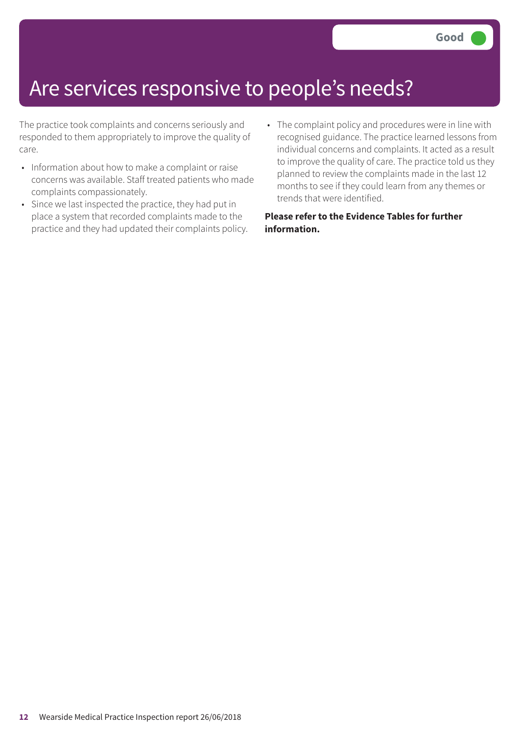### Are services responsive to people's needs?

The practice took complaints and concerns seriously and responded to them appropriately to improve the quality of care.

- Information about how to make a complaint or raise concerns was available. Staff treated patients who made complaints compassionately.
- Since we last inspected the practice, they had put in place a system that recorded complaints made to the practice and they had updated their complaints policy.
- The complaint policy and procedures were in line with recognised guidance. The practice learned lessons from individual concerns and complaints. It acted as a result to improve the quality of care. The practice told us they planned to review the complaints made in the last 12 months to see if they could learn from any themes or trends that were identified.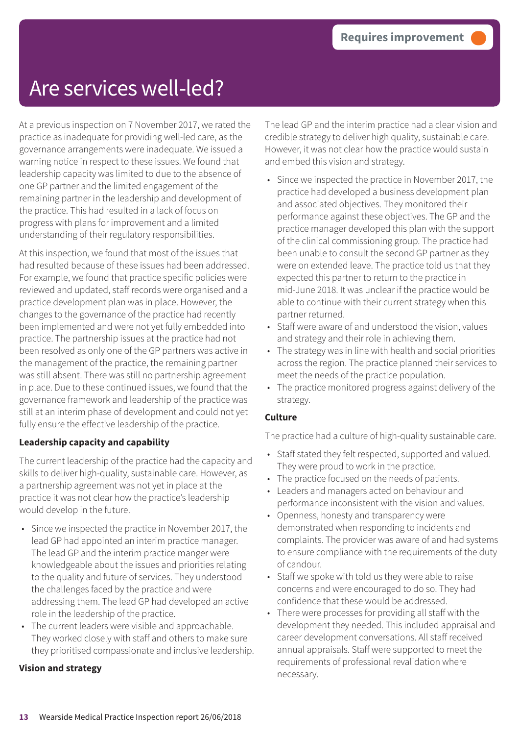### Are services well-led?

At a previous inspection on 7 November 2017, we rated the practice as inadequate for providing well-led care, as the governance arrangements were inadequate. We issued a warning notice in respect to these issues. We found that leadership capacity was limited to due to the absence of one GP partner and the limited engagement of the remaining partner in the leadership and development of the practice. This had resulted in a lack of focus on progress with plans for improvement and a limited understanding of their regulatory responsibilities.

At this inspection, we found that most of the issues that had resulted because of these issues had been addressed. For example, we found that practice specific policies were reviewed and updated, staff records were organised and a practice development plan was in place. However, the changes to the governance of the practice had recently been implemented and were not yet fully embedded into practice. The partnership issues at the practice had not been resolved as only one of the GP partners was active in the management of the practice, the remaining partner was still absent. There was still no partnership agreement in place. Due to these continued issues, we found that the governance framework and leadership of the practice was still at an interim phase of development and could not yet fully ensure the effective leadership of the practice.

#### **Leadership capacity and capability**

The current leadership of the practice had the capacity and skills to deliver high-quality, sustainable care. However, as a partnership agreement was not yet in place at the practice it was not clear how the practice's leadership would develop in the future.

- Since we inspected the practice in November 2017, the lead GP had appointed an interim practice manager. The lead GP and the interim practice manger were knowledgeable about the issues and priorities relating to the quality and future of services. They understood the challenges faced by the practice and were addressing them. The lead GP had developed an active role in the leadership of the practice.
- The current leaders were visible and approachable. They worked closely with staff and others to make sure they prioritised compassionate and inclusive leadership.

#### **Vision and strategy**

The lead GP and the interim practice had a clear vision and credible strategy to deliver high quality, sustainable care. However, it was not clear how the practice would sustain and embed this vision and strategy.

- Since we inspected the practice in November 2017, the practice had developed a business development plan and associated objectives. They monitored their performance against these objectives. The GP and the practice manager developed this plan with the support of the clinical commissioning group. The practice had been unable to consult the second GP partner as they were on extended leave. The practice told us that they expected this partner to return to the practice in mid-June 2018. It was unclear if the practice would be able to continue with their current strategy when this partner returned.
- Staff were aware of and understood the vision, values and strategy and their role in achieving them.
- The strategy was in line with health and social priorities across the region. The practice planned their services to meet the needs of the practice population.
- The practice monitored progress against delivery of the strategy.

#### **Culture**

The practice had a culture of high-quality sustainable care.

- Staff stated they felt respected, supported and valued. They were proud to work in the practice.
- The practice focused on the needs of patients.
- Leaders and managers acted on behaviour and performance inconsistent with the vision and values.
- Openness, honesty and transparency were demonstrated when responding to incidents and complaints. The provider was aware of and had systems to ensure compliance with the requirements of the duty of candour.
- Staff we spoke with told us they were able to raise concerns and were encouraged to do so. They had confidence that these would be addressed.
- There were processes for providing all staff with the development they needed. This included appraisal and career development conversations. All staff received annual appraisals. Staff were supported to meet the requirements of professional revalidation where necessary.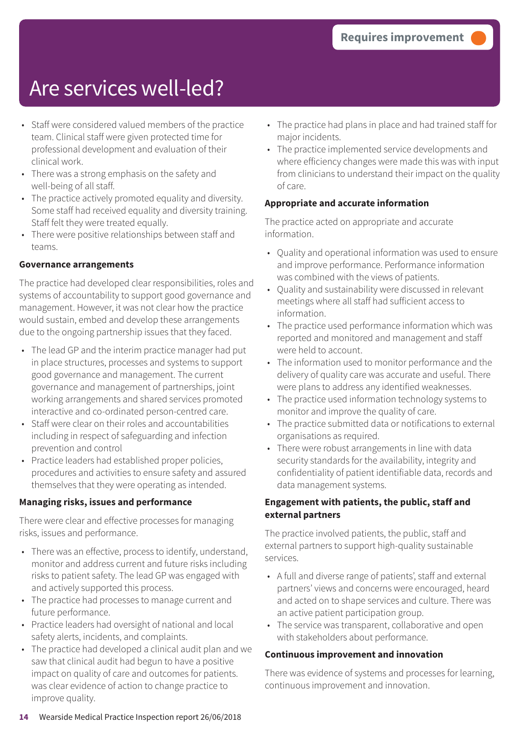### Are services well-led?

- Staff were considered valued members of the practice team. Clinical staff were given protected time for professional development and evaluation of their clinical work.
- There was a strong emphasis on the safety and well-being of all staff.
- The practice actively promoted equality and diversity. Some staff had received equality and diversity training. Staff felt they were treated equally.
- There were positive relationships between staff and teams.

#### **Governance arrangements**

The practice had developed clear responsibilities, roles and systems of accountability to support good governance and management. However, it was not clear how the practice would sustain, embed and develop these arrangements due to the ongoing partnership issues that they faced.

- The lead GP and the interim practice manager had put in place structures, processes and systems to support good governance and management. The current governance and management of partnerships, joint working arrangements and shared services promoted interactive and co-ordinated person-centred care.
- Staff were clear on their roles and accountabilities including in respect of safeguarding and infection prevention and control
- Practice leaders had established proper policies, procedures and activities to ensure safety and assured themselves that they were operating as intended.

#### **Managing risks, issues and performance**

There were clear and effective processes for managing risks, issues and performance.

- There was an effective, process to identify, understand, monitor and address current and future risks including risks to patient safety. The lead GP was engaged with and actively supported this process.
- The practice had processes to manage current and future performance.
- Practice leaders had oversight of national and local safety alerts, incidents, and complaints.
- The practice had developed a clinical audit plan and we saw that clinical audit had begun to have a positive impact on quality of care and outcomes for patients. was clear evidence of action to change practice to improve quality.
- The practice had plans in place and had trained staff for major incidents.
- The practice implemented service developments and where efficiency changes were made this was with input from clinicians to understand their impact on the quality of care.

#### **Appropriate and accurate information**

The practice acted on appropriate and accurate information.

- Quality and operational information was used to ensure and improve performance. Performance information was combined with the views of patients.
- Quality and sustainability were discussed in relevant meetings where all staff had sufficient access to information.
- The practice used performance information which was reported and monitored and management and staff were held to account.
- The information used to monitor performance and the delivery of quality care was accurate and useful. There were plans to address any identified weaknesses.
- The practice used information technology systems to monitor and improve the quality of care.
- The practice submitted data or notifications to external organisations as required.
- There were robust arrangements in line with data security standards for the availability, integrity and confidentiality of patient identifiable data, records and data management systems.

#### **Engagement with patients, the public, staff and external partners**

The practice involved patients, the public, staff and external partners to support high-quality sustainable services.

- A full and diverse range of patients', staff and external partners' views and concerns were encouraged, heard and acted on to shape services and culture. There was an active patient participation group.
- The service was transparent, collaborative and open with stakeholders about performance.

#### **Continuous improvement and innovation**

There was evidence of systems and processes for learning, continuous improvement and innovation.